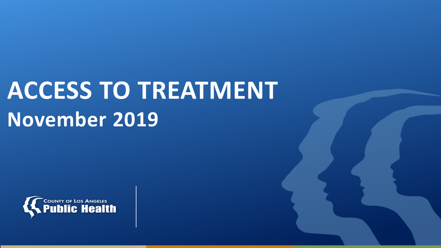# **ACCESS TO TREATMENT November 2019**

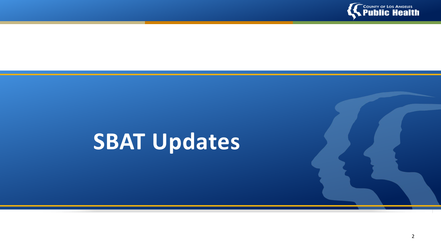

## **SBAT Updates**

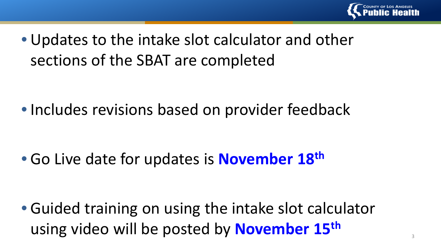

• Updates to the intake slot calculator and other sections of the SBAT are completed

• Includes revisions based on provider feedback

• Go Live date for updates is **November 18th**

• Guided training on using the intake slot calculator using video will be posted by **November 15th**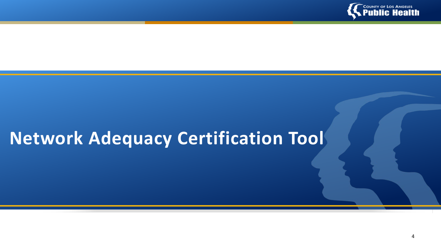

## **Network Adequacy Certification Tool**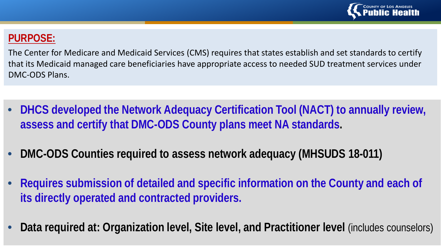

### **PURPOSE:**

The Center for Medicare and Medicaid Services (CMS) requires that states establish and set standards to certify that its Medicaid managed care beneficiaries have appropriate access to needed SUD treatment services under DMC-ODS Plans.

- **DHCS developed the Network Adequacy Certification Tool (NACT) to annually review, assess and certify that DMC-ODS County plans meet NA standards.**
- **DMC-ODS Counties required to assess network adequacy (MHSUDS 18-011)**
- **Requires submission of detailed and specific information on the County and each of its directly operated and contracted providers.**
- **Data required at: Organization level, Site level, and Practitioner level** (includes counselors)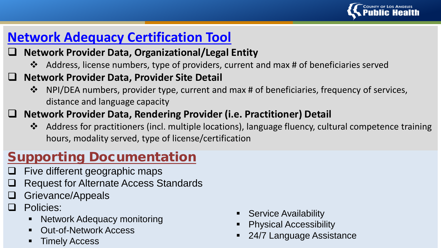

### **Network Adequacy Certification Tool**

### **Network Provider Data, Organizational/Legal Entity**

Address, license numbers, type of providers, current and max # of beneficiaries served

### **Network Provider Data, Provider Site Detail**

 $\cdot \cdot$  NPI/DEA numbers, provider type, current and max # of beneficiaries, frequency of services, distance and language capacity

### **Network Provider Data, Rendering Provider (i.e. Practitioner) Detail**

 Address for practitioners (incl. multiple locations), language fluency, cultural competence training hours, modality served, type of license/certification

### Supporting Documentation

- Five different geographic maps
- Request for Alternate Access Standards
- Grievance/Appeals
- Policies:
	- **Network Adequacy monitoring**
	- Out-of-Network Access
	- Timely Access
- Service Availability
- Physical Accessibility
- 24/7 Language Assistance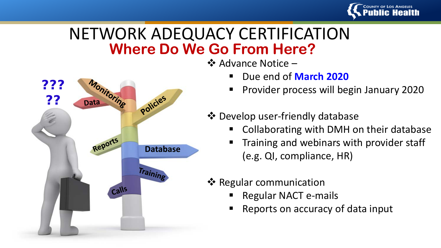

## **Where Do We Go From Here?** NETWORK ADEQUACY CERTIFICATION

**Database**

policies

Training

???

??

 $\tilde{\epsilon}$ 

Monitoring

Reports

Calls

**Data** 

❖ Advance Notice –

- Due end of **March 2020**
- Provider process will begin January 2020



- Collaborating with DMH on their database
- Training and webinars with provider staff (e.g. QI, compliance, HR)
- ❖ Regular communication
	- Regular NACT e-mails
	- Reports on accuracy of data input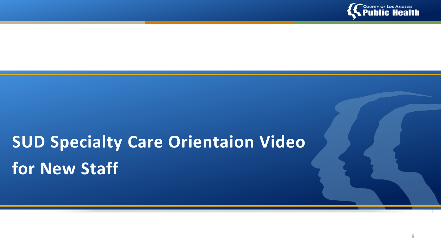

## **SUD Specialty Care Orientaion Video for New Staff**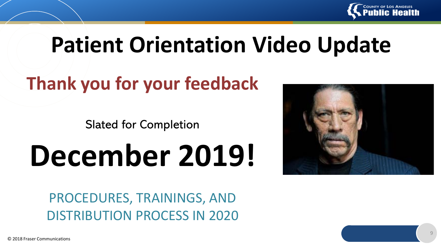

## **Patient Orientation Video Update**

## **Thank you for your feedback**

Slated for Completion

# **December 2019!**



PROCEDURES, TRAININGS, AND DISTRIBUTION PROCESS IN 2020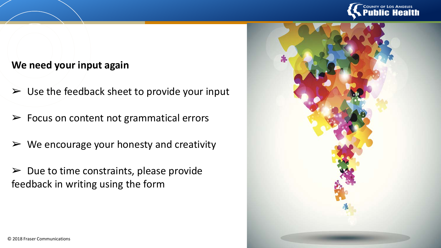

#### **We need your input again**

- $\triangleright$  Use the feedback sheet to provide your input
- $\triangleright$  Focus on content not grammatical errors
- $\triangleright$  We encourage your honesty and creativity
- $\triangleright$  Due to time constraints, please provide feedback in writing using the form

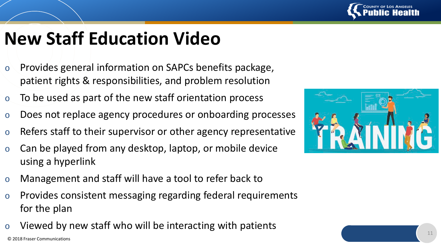

## **New Staff Education Video**

- o Provides general information on SAPCs benefits package, patient rights & responsibilities, and problem resolution
- o To be used as part of the new staff orientation process
- o Does not replace agency procedures or onboarding processes
- $\circ$  Refers staff to their supervisor or other agency representative
- $\circ$  Can be played from any desktop, laptop, or mobile device using a hyperlink
- o Management and staff will have a tool to refer back to
- o Provides consistent messaging regarding federal requirements for the plan
- Viewed by new staff who will be interacting with patients

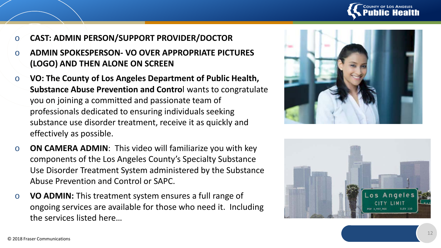

- o **CAST: ADMIN PERSON/SUPPORT PROVIDER/DOCTOR**
- o **ADMIN SPOKESPERSON- VO OVER APPROPRIATE PICTURES (LOGO) AND THEN ALONE ON SCREEN**
- o **VO: The County of Los Angeles Department of Public Health, Substance Abuse Prevention and Contro**l wants to congratulate you on joining a committed and passionate team of professionals dedicated to ensuring individuals seeking substance use disorder treatment, receive it as quickly and effectively as possible.
- o **ON CAMERA ADMIN**: This video will familiarize you with key components of the Los Angeles County's Specialty Substance Use Disorder Treatment System administered by the Substance Abuse Prevention and Control or SAPC.
- o **VO ADMIN:** This treatment system ensures a full range of ongoing services are available for those who need it. Including the services listed here…



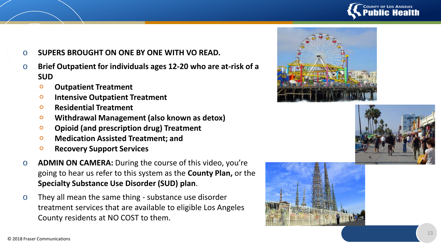

- o **SUPERS BROUGHT ON ONE BY ONE WITH VO READ.**
- $\circ$  **Brief Outpatient for individuals ages 12-20 who are at-risk of a SUD**
	- **Outpatient Treatment**
	- **Intensive Outpatient Treatment**
	- **Residential Treatment**
	- **Withdrawal Management (also known as detox)**
	- **Opioid (and prescription drug) Treatment**
	- **Medication Assisted Treatment; and**
	- **Recovery Support Services**
- o **ADMIN ON CAMERA:** During the course of this video, you're going to hear us refer to this system as the **County Plan,** or the **Specialty Substance Use Disorder (SUD) plan** .
- $\circ$  They all mean the same thing substance use disorder treatment services that are available to eligible Los Angeles County residents at NO COST to them.





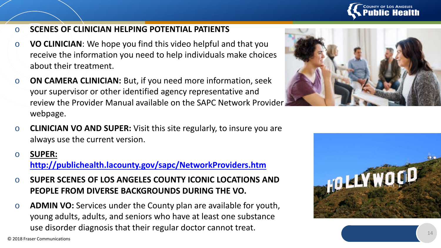

- o **SCENES OF CLINICIAN HELPING POTENTIAL PATIENTS**
- o **VO CLINICIAN**: We hope you find this video helpful and that you receive the information you need to help individuals make choices about their treatment.
- o **ON CAMERA CLINICIAN:** But, if you need more information, seek your supervisor or other identified agency representative and review the Provider Manual available on the SAPC Network Provider webpage.
- o **CLINICIAN VO AND SUPER:** Visit this site regularly, to insure you are always use the current version.
- o **SUPER: <http://publichealth.lacounty.gov/sapc/NetworkProviders.htm>**
- o **SUPER SCENES OF LOS ANGELES COUNTY ICONIC LOCATIONS AND PEOPLE FROM DIVERSE BACKGROUNDS DURING THE VO.**
- o **ADMIN VO:** Services under the County plan are available for youth, young adults, adults, and seniors who have at least one substance use disorder diagnosis that their regular doctor cannot treat.



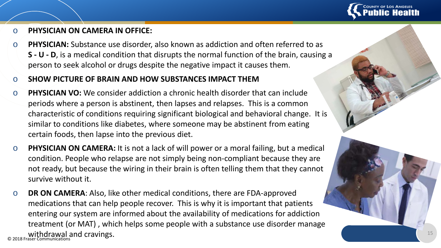

#### o **PHYSICIAN ON CAMERA IN OFFICE:**

o **PHYSICIAN:** Substance use disorder, also known as addiction and often referred to as **S - U - D**, is a medical condition that disrupts the normal function of the brain, causing a person to seek alcohol or drugs despite the negative impact it causes them.

#### o **SHOW PICTURE OF BRAIN AND HOW SUBSTANCES IMPACT THEM**

- o **PHYSICIAN VO:** We consider addiction a chronic health disorder that can include periods where a person is abstinent, then lapses and relapses. This is a common characteristic of conditions requiring significant biological and behavioral change. It is similar to conditions like diabetes, where someone may be abstinent from eating certain foods, then lapse into the previous diet.
- o **PHYSICIAN ON CAMERA:** It is not a lack of will power or a moral failing, but a medical condition. People who relapse are not simply being non-compliant because they are not ready, but because the wiring in their brain is often telling them that they cannot survive without it.
- © 2018 Fraser Communications withdrawal and cravings.o **DR ON CAMERA**: Also, like other medical conditions, there are FDA-approved medications that can help people recover. This is why it is important that patients entering our system are informed about the availability of medications for addiction treatment (or MAT) , which helps some people with a substance use disorder manage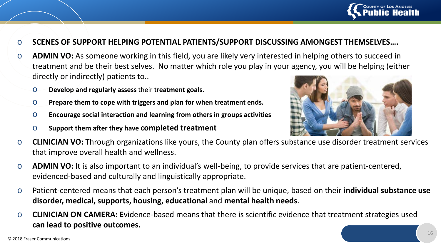

- o **SCENES OF SUPPORT HELPING POTENTIAL PATIENTS/SUPPORT DISCUSSING AMONGEST THEMSELVES….**
- o **ADMIN VO:** As someone working in this field, you are likely very interested in helping others to succeed in treatment and be their best selves. No matter which role you play in your agency, you will be helping (either directly or indirectly) patients to..
	- o **Develop and regularly assess** their **treatment goals.**
	- o **Prepare them to cope with triggers and plan for when treatment ends.**
	- o **Encourage social interaction and learning from others in groups activities**
	- o **Support them after they have completed treatment**



- o **CLINICIAN VO:** Through organizations like yours, the County plan offers substance use disorder treatment services that improve overall health and wellness.
- o **ADMIN VO:** It is also important to an individual's well-being, to provide services that are patient-centered, evidenced-based and culturally and linguistically appropriate.
- o Patient-centered means that each person's treatment plan will be unique, based on their **individual substance use disorder, medical, supports, housing, educational** and **mental health needs**.
- o **CLINICIAN ON CAMERA: E**vidence-based means that there is scientific evidence that treatment strategies used **can lead to positive outcomes.**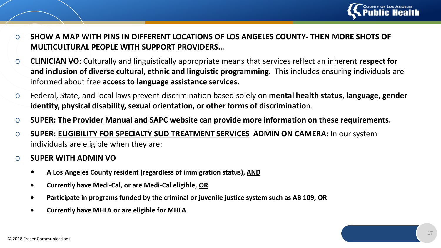

- o **SHOW A MAP WITH PINS IN DIFFERENT LOCATIONS OF LOS ANGELES COUNTY- THEN MORE SHOTS OF MULTICULTURAL PEOPLE WITH SUPPORT PROVIDERS…**
- o **CLINICIAN VO:** Culturally and linguistically appropriate means that services reflect an inherent **respect for and inclusion of diverse cultural, ethnic and linguistic programming.** This includes ensuring individuals are informed about free **access to language assistance services.**
- o Federal, State, and local laws prevent discrimination based solely on **mental health status, language, gender identity, physical disability, sexual orientation, or other forms of discriminatio**n.
- o **SUPER: The Provider Manual and SAPC website can provide more information on these requirements.**
- o **SUPER: ELIGIBILITY FOR SPECIALTY SUD TREATMENT SERVICES ADMIN ON CAMERA:** In our system individuals are eligible when they are:
- o **SUPER WITH ADMIN VO**
	- **A Los Angeles County resident (regardless of immigration status), AND**
	- **• Currently have Medi-Cal, or are Medi-Cal eligible, OR**
	- **• Participate in programs funded by the criminal or juvenile justice system such as AB 109, OR**
	- **• Currently have MHLA or are eligible for MHLA**.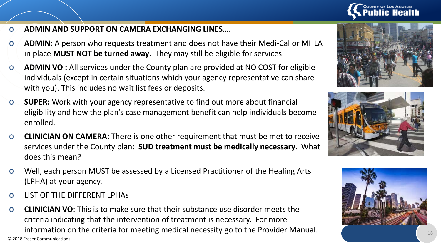

- o **ADMIN AND SUPPORT ON CAMERA EXCHANGING LINES….**
- o **ADMIN:** A person who requests treatment and does not have their Medi-Cal or MHLA in place **MUST NOT be turned away**. They may still be eligible for services.
- o **ADMIN VO :** All services under the County plan are provided at NO COST for eligible individuals (except in certain situations which your agency representative can share with you). This includes no wait list fees or deposits.
- o **SUPER:** Work with your agency representative to find out more about financial eligibility and how the plan's case management benefit can help individuals become enrolled.
- o **CLINICIAN ON CAMERA:** There is one other requirement that must be met to receive services under the County plan: **SUD treatment must be medically necessary**. What does this mean?
- o Well, each person MUST be assessed by a Licensed Practitioner of the Healing Arts (LPHA) at your agency.
- o LIST OF THE DIFFERENT LPHAs
- o **CLINICIAN VO**: This is to make sure that their substance use disorder meets the criteria indicating that the intervention of treatment is necessary. For more information on the criteria for meeting medical necessity go to the Provider Manual.

© 2018 Fraser Communications





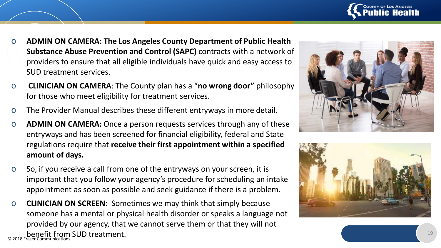

- o **ADMIN ON CAMERA: The Los Angeles County Department of Public Health Substance Abuse Prevention and Control (SAPC)** contracts with a network of providers to ensure that all eligible individuals have quick and easy access to SUD treatment services.
- o **CLINICIAN ON CAMERA**: The County plan has a "**no wrong door"** philosophy for those who meet eligibility for treatment services.
- o The Provider Manual describes these different entryways in more detail.
- o **ADMIN ON CAMERA:** Once a person requests services through any of these entryways and has been screened for financial eligibility, federal and State regulations require that **receive their first appointment within a specified amount of days.**
- o So, if you receive a call from one of the entryways on your screen, it is important that you follow your agency's procedure for scheduling an intake appointment as soon as possible and seek guidance if there is a problem.
- © 2018 Fraser Communications benefit from SUD treatment.o **CLINICIAN ON SCREEN**: Sometimes we may think that simply because someone has a mental or physical health disorder or speaks a language not provided by our agency, that we cannot serve them or that they will not



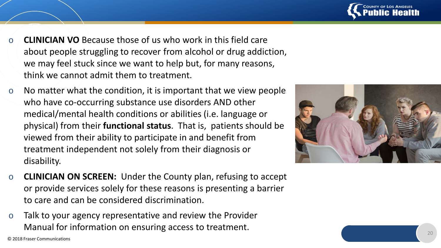

- **CLINICIAN VO** Because those of us who work in this field care about people struggling to recover from alcohol or drug addiction, we may feel stuck since we want to help but, for many reasons, think we cannot admit them to treatment.
- $\circ$  No matter what the condition, it is important that we view people who have co-occurring substance use disorders AND other medical/mental health conditions or abilities (i.e. language or physical) from their **functional status**. That is, patients should be viewed from their ability to participate in and benefit from treatment independent not solely from their diagnosis or disability.
- o **CLINICIAN ON SCREEN:** Under the County plan, refusing to accept or provide services solely for these reasons is presenting a barrier to care and can be considered discrimination.
- o Talk to your agency representative and review the Provider Manual for information on ensuring access to treatment.

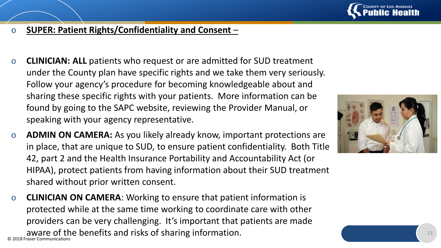

#### o **SUPER: Patient Rights/Confidentiality and Consent** –

- o **CLINICIAN: ALL** patients who request or are admitted for SUD treatment under the County plan have specific rights and we take them very seriously. Follow your agency's procedure for becoming knowledgeable about and sharing these specific rights with your patients. More information can be found by going to the SAPC website, reviewing the Provider Manual, or speaking with your agency representative.
- o **ADMIN ON CAMERA:** As you likely already know, important protections are in place, that are unique to SUD, to ensure patient confidentiality. Both Title 42, part 2 and the Health Insurance Portability and Accountability Act (or HIPAA), protect patients from having information about their SUD treatment shared without prior written consent.
- © 2018 Fraser Commun o **CLINICIAN ON CAMERA**: Working to ensure that patient information is protected while at the same time working to coordinate care with other providers can be very challenging. It's important that patients are made aware of the benefits and risks of sharing information.

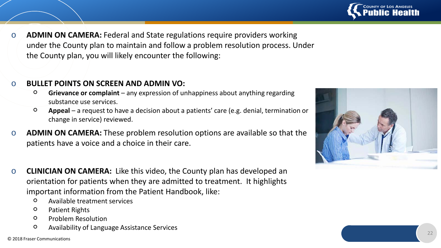

o **ADMIN ON CAMERA:** Federal and State regulations require providers working under the County plan to maintain and follow a problem resolution process. Under the County plan, you will likely encounter the following:

#### o **BULLET POINTS ON SCREEN AND ADMIN VO:**

- **Grievance or complaint**  any expression of unhappiness about anything regarding substance use services.
- **Appeal**  a request to have a decision about a patients' care (e.g. denial, termination or change in service) reviewed.
- o **ADMIN ON CAMERA:** These problem resolution options are available so that the patients have a voice and a choice in their care.
- o **CLINICIAN ON CAMERA:** Like this video, the County plan has developed an orientation for patients when they are admitted to treatment. It highlights important information from the Patient Handbook, like:
	- Available treatment services
	- Patient Rights
	- Problem Resolution
	- Availability of Language Assistance Services